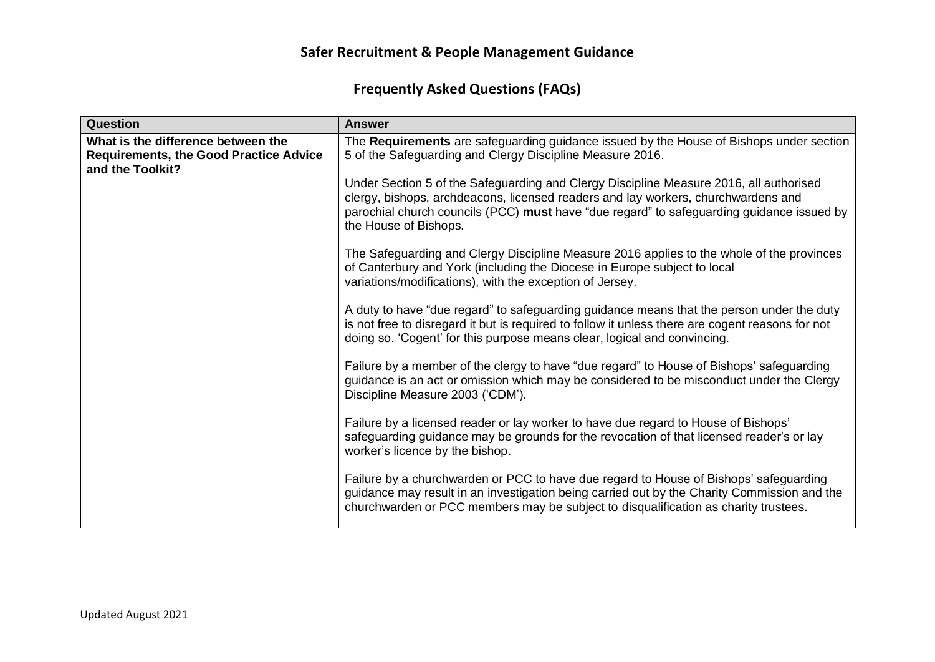| Question                                                                                                | <b>Answer</b>                                                                                                                                                                                                                                                                                     |
|---------------------------------------------------------------------------------------------------------|---------------------------------------------------------------------------------------------------------------------------------------------------------------------------------------------------------------------------------------------------------------------------------------------------|
| What is the difference between the<br><b>Requirements, the Good Practice Advice</b><br>and the Toolkit? | The Requirements are safeguarding guidance issued by the House of Bishops under section<br>5 of the Safeguarding and Clergy Discipline Measure 2016.                                                                                                                                              |
|                                                                                                         | Under Section 5 of the Safeguarding and Clergy Discipline Measure 2016, all authorised<br>clergy, bishops, archdeacons, licensed readers and lay workers, churchwardens and<br>parochial church councils (PCC) must have "due regard" to safeguarding guidance issued by<br>the House of Bishops. |
|                                                                                                         | The Safeguarding and Clergy Discipline Measure 2016 applies to the whole of the provinces<br>of Canterbury and York (including the Diocese in Europe subject to local<br>variations/modifications), with the exception of Jersey.                                                                 |
|                                                                                                         | A duty to have "due regard" to safeguarding guidance means that the person under the duty<br>is not free to disregard it but is required to follow it unless there are cogent reasons for not<br>doing so. 'Cogent' for this purpose means clear, logical and convincing.                         |
|                                                                                                         | Failure by a member of the clergy to have "due regard" to House of Bishops' safeguarding<br>guidance is an act or omission which may be considered to be misconduct under the Clergy<br>Discipline Measure 2003 ('CDM').                                                                          |
|                                                                                                         | Failure by a licensed reader or lay worker to have due regard to House of Bishops'<br>safeguarding guidance may be grounds for the revocation of that licensed reader's or lay<br>worker's licence by the bishop.                                                                                 |
|                                                                                                         | Failure by a churchwarden or PCC to have due regard to House of Bishops' safeguarding<br>guidance may result in an investigation being carried out by the Charity Commission and the<br>churchwarden or PCC members may be subject to disqualification as charity trustees.                       |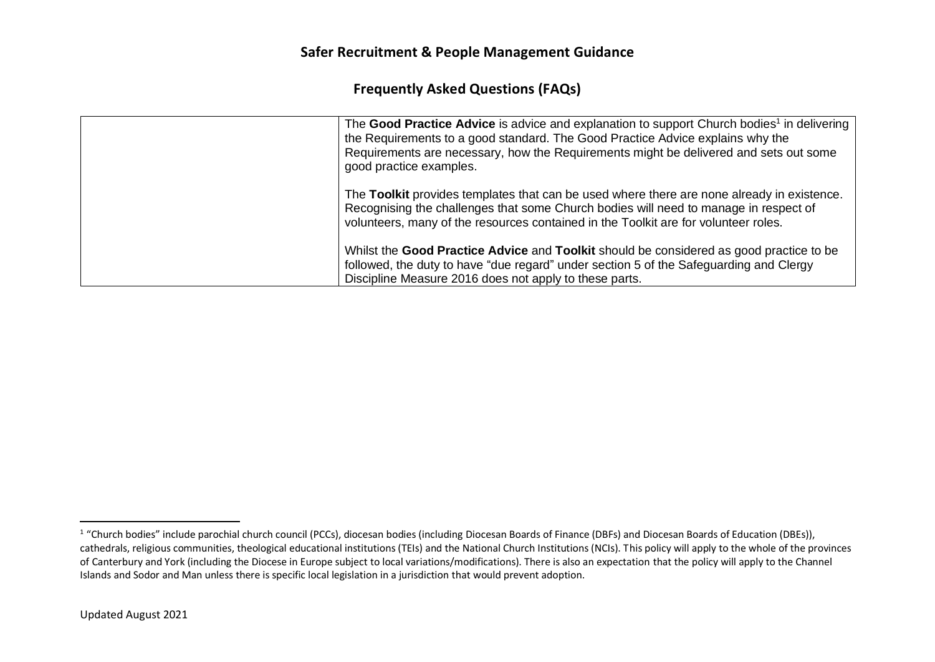| The Good Practice Advice is advice and explanation to support Church bodies <sup>1</sup> in delivering<br>the Requirements to a good standard. The Good Practice Advice explains why the<br>Requirements are necessary, how the Requirements might be delivered and sets out some<br>good practice examples. |
|--------------------------------------------------------------------------------------------------------------------------------------------------------------------------------------------------------------------------------------------------------------------------------------------------------------|
| The Toolkit provides templates that can be used where there are none already in existence.<br>Recognising the challenges that some Church bodies will need to manage in respect of<br>volunteers, many of the resources contained in the Toolkit are for volunteer roles.                                    |
| Whilst the <b>Good Practice Advice</b> and <b>Toolkit</b> should be considered as good practice to be<br>followed, the duty to have "due regard" under section 5 of the Safeguarding and Clergy<br>Discipline Measure 2016 does not apply to these parts.                                                    |

<sup>&</sup>lt;sup>1</sup> "Church bodies" include parochial church council (PCCs), diocesan bodies (including Diocesan Boards (DBFs) and Diocesan Boards of Education (DBEs)), cathedrals, religious communities, theological educational institutions (TEIs) and the National Church Institutions (NCIs). This policy will apply to the whole of the provinces of Canterbury and York (including the Diocese in Europe subject to local variations/modifications). There is also an expectation that the policy will apply to the Channel Islands and Sodor and Man unless there is specific local legislation in a jurisdiction that would prevent adoption.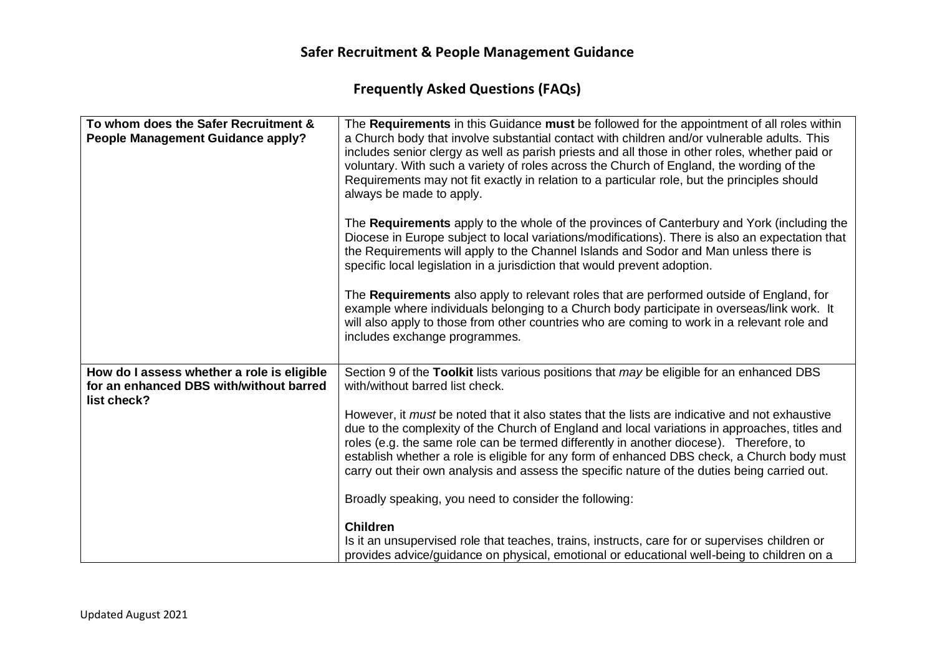| To whom does the Safer Recruitment &<br>People Management Guidance apply?                            | The Requirements in this Guidance must be followed for the appointment of all roles within<br>a Church body that involve substantial contact with children and/or vulnerable adults. This<br>includes senior clergy as well as parish priests and all those in other roles, whether paid or<br>voluntary. With such a variety of roles across the Church of England, the wording of the<br>Requirements may not fit exactly in relation to a particular role, but the principles should<br>always be made to apply. |
|------------------------------------------------------------------------------------------------------|---------------------------------------------------------------------------------------------------------------------------------------------------------------------------------------------------------------------------------------------------------------------------------------------------------------------------------------------------------------------------------------------------------------------------------------------------------------------------------------------------------------------|
|                                                                                                      | The Requirements apply to the whole of the provinces of Canterbury and York (including the<br>Diocese in Europe subject to local variations/modifications). There is also an expectation that<br>the Requirements will apply to the Channel Islands and Sodor and Man unless there is<br>specific local legislation in a jurisdiction that would prevent adoption.                                                                                                                                                  |
|                                                                                                      | The Requirements also apply to relevant roles that are performed outside of England, for<br>example where individuals belonging to a Church body participate in overseas/link work. It<br>will also apply to those from other countries who are coming to work in a relevant role and<br>includes exchange programmes.                                                                                                                                                                                              |
| How do I assess whether a role is eligible<br>for an enhanced DBS with/without barred<br>list check? | Section 9 of the Toolkit lists various positions that may be eligible for an enhanced DBS<br>with/without barred list check.                                                                                                                                                                                                                                                                                                                                                                                        |
|                                                                                                      | However, it <i>must</i> be noted that it also states that the lists are indicative and not exhaustive<br>due to the complexity of the Church of England and local variations in approaches, titles and<br>roles (e.g. the same role can be termed differently in another diocese). Therefore, to<br>establish whether a role is eligible for any form of enhanced DBS check, a Church body must<br>carry out their own analysis and assess the specific nature of the duties being carried out.                     |
|                                                                                                      | Broadly speaking, you need to consider the following:                                                                                                                                                                                                                                                                                                                                                                                                                                                               |
|                                                                                                      | <b>Children</b><br>Is it an unsupervised role that teaches, trains, instructs, care for or supervises children or<br>provides advice/guidance on physical, emotional or educational well-being to children on a                                                                                                                                                                                                                                                                                                     |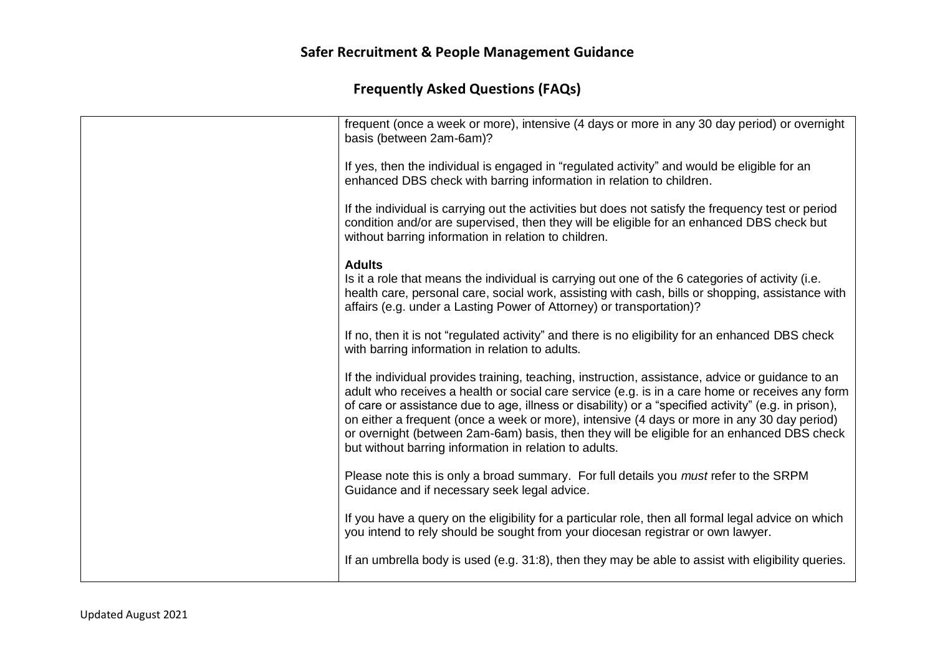| frequent (once a week or more), intensive (4 days or more in any 30 day period) or overnight<br>basis (between 2am-6am)?                                                                                                                                                                                                                                                                                                                                                                                                                                           |
|--------------------------------------------------------------------------------------------------------------------------------------------------------------------------------------------------------------------------------------------------------------------------------------------------------------------------------------------------------------------------------------------------------------------------------------------------------------------------------------------------------------------------------------------------------------------|
| If yes, then the individual is engaged in "regulated activity" and would be eligible for an<br>enhanced DBS check with barring information in relation to children.                                                                                                                                                                                                                                                                                                                                                                                                |
| If the individual is carrying out the activities but does not satisfy the frequency test or period<br>condition and/or are supervised, then they will be eligible for an enhanced DBS check but<br>without barring information in relation to children.                                                                                                                                                                                                                                                                                                            |
| <b>Adults</b><br>Is it a role that means the individual is carrying out one of the 6 categories of activity (i.e.<br>health care, personal care, social work, assisting with cash, bills or shopping, assistance with<br>affairs (e.g. under a Lasting Power of Attorney) or transportation)?                                                                                                                                                                                                                                                                      |
| If no, then it is not "regulated activity" and there is no eligibility for an enhanced DBS check<br>with barring information in relation to adults.                                                                                                                                                                                                                                                                                                                                                                                                                |
| If the individual provides training, teaching, instruction, assistance, advice or guidance to an<br>adult who receives a health or social care service (e.g. is in a care home or receives any form<br>of care or assistance due to age, illness or disability) or a "specified activity" (e.g. in prison),<br>on either a frequent (once a week or more), intensive (4 days or more in any 30 day period)<br>or overnight (between 2am-6am) basis, then they will be eligible for an enhanced DBS check<br>but without barring information in relation to adults. |
| Please note this is only a broad summary. For full details you must refer to the SRPM<br>Guidance and if necessary seek legal advice.                                                                                                                                                                                                                                                                                                                                                                                                                              |
| If you have a query on the eligibility for a particular role, then all formal legal advice on which<br>you intend to rely should be sought from your diocesan registrar or own lawyer.                                                                                                                                                                                                                                                                                                                                                                             |
| If an umbrella body is used (e.g. 31:8), then they may be able to assist with eligibility queries.                                                                                                                                                                                                                                                                                                                                                                                                                                                                 |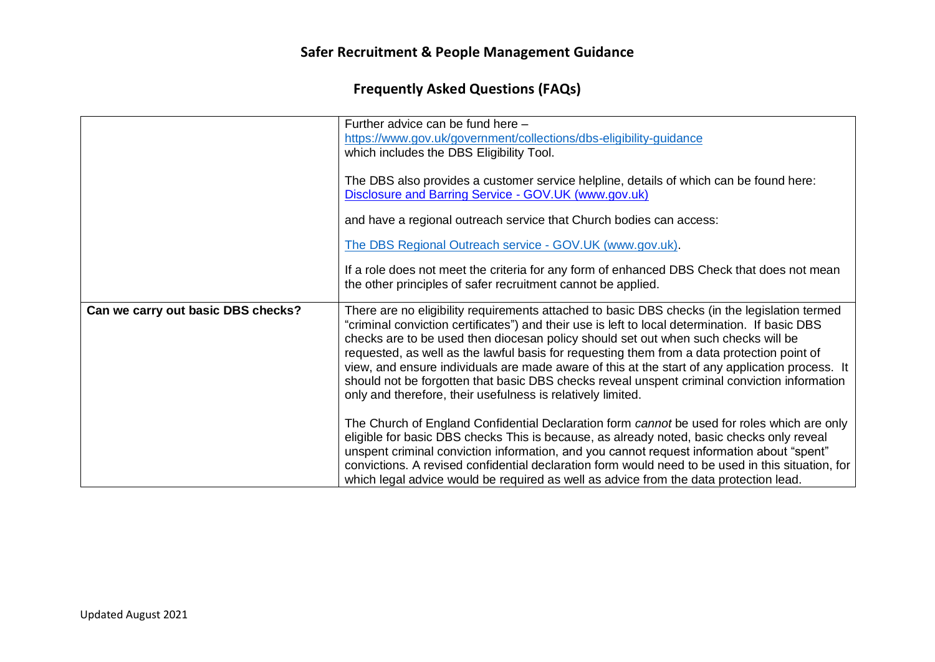|                                    | Further advice can be fund here -<br>https://www.gov.uk/government/collections/dbs-eligibility-guidance<br>which includes the DBS Eligibility Tool.                                                                                                                                                                                                                                                                                                                                                                                                                                                                                                   |
|------------------------------------|-------------------------------------------------------------------------------------------------------------------------------------------------------------------------------------------------------------------------------------------------------------------------------------------------------------------------------------------------------------------------------------------------------------------------------------------------------------------------------------------------------------------------------------------------------------------------------------------------------------------------------------------------------|
|                                    | The DBS also provides a customer service helpline, details of which can be found here:<br>Disclosure and Barring Service - GOV.UK (www.gov.uk)                                                                                                                                                                                                                                                                                                                                                                                                                                                                                                        |
|                                    | and have a regional outreach service that Church bodies can access:                                                                                                                                                                                                                                                                                                                                                                                                                                                                                                                                                                                   |
|                                    | The DBS Regional Outreach service - GOV.UK (www.gov.uk).                                                                                                                                                                                                                                                                                                                                                                                                                                                                                                                                                                                              |
|                                    | If a role does not meet the criteria for any form of enhanced DBS Check that does not mean<br>the other principles of safer recruitment cannot be applied.                                                                                                                                                                                                                                                                                                                                                                                                                                                                                            |
| Can we carry out basic DBS checks? | There are no eligibility requirements attached to basic DBS checks (in the legislation termed<br>"criminal conviction certificates") and their use is left to local determination. If basic DBS<br>checks are to be used then diocesan policy should set out when such checks will be<br>requested, as well as the lawful basis for requesting them from a data protection point of<br>view, and ensure individuals are made aware of this at the start of any application process. It<br>should not be forgotten that basic DBS checks reveal unspent criminal conviction information<br>only and therefore, their usefulness is relatively limited. |
|                                    | The Church of England Confidential Declaration form cannot be used for roles which are only<br>eligible for basic DBS checks This is because, as already noted, basic checks only reveal<br>unspent criminal conviction information, and you cannot request information about "spent"<br>convictions. A revised confidential declaration form would need to be used in this situation, for<br>which legal advice would be required as well as advice from the data protection lead.                                                                                                                                                                   |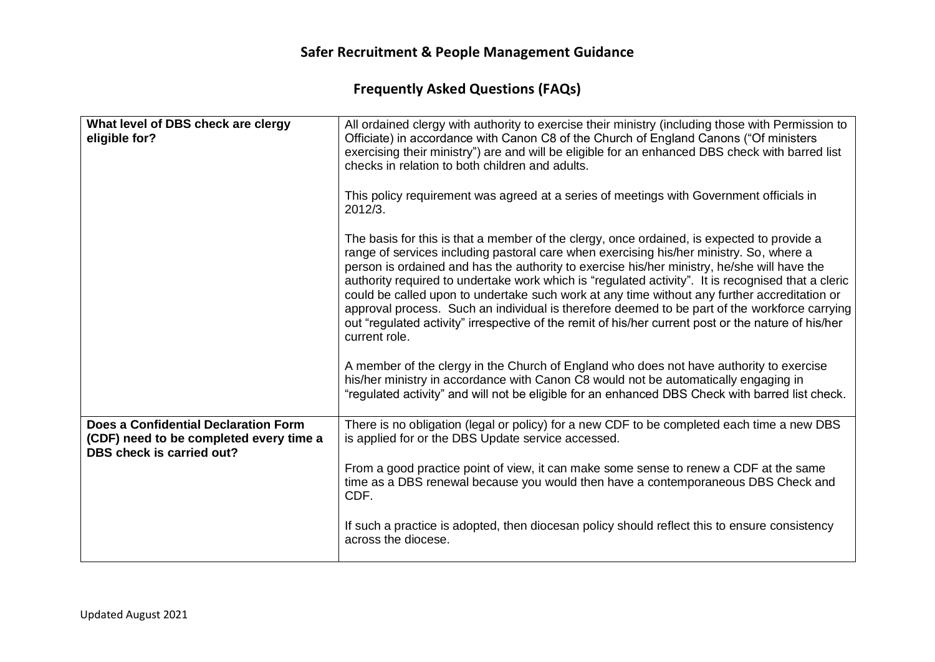| What level of DBS check are clergy<br>eligible for?                                                                 | All ordained clergy with authority to exercise their ministry (including those with Permission to<br>Officiate) in accordance with Canon C8 of the Church of England Canons ("Of ministers<br>exercising their ministry") are and will be eligible for an enhanced DBS check with barred list<br>checks in relation to both children and adults.                                                                                                                                                                                                                                                                                                                                                                    |
|---------------------------------------------------------------------------------------------------------------------|---------------------------------------------------------------------------------------------------------------------------------------------------------------------------------------------------------------------------------------------------------------------------------------------------------------------------------------------------------------------------------------------------------------------------------------------------------------------------------------------------------------------------------------------------------------------------------------------------------------------------------------------------------------------------------------------------------------------|
|                                                                                                                     | This policy requirement was agreed at a series of meetings with Government officials in<br>2012/3.                                                                                                                                                                                                                                                                                                                                                                                                                                                                                                                                                                                                                  |
|                                                                                                                     | The basis for this is that a member of the clergy, once ordained, is expected to provide a<br>range of services including pastoral care when exercising his/her ministry. So, where a<br>person is ordained and has the authority to exercise his/her ministry, he/she will have the<br>authority required to undertake work which is "regulated activity". It is recognised that a cleric<br>could be called upon to undertake such work at any time without any further accreditation or<br>approval process. Such an individual is therefore deemed to be part of the workforce carrying<br>out "regulated activity" irrespective of the remit of his/her current post or the nature of his/her<br>current role. |
|                                                                                                                     | A member of the clergy in the Church of England who does not have authority to exercise<br>his/her ministry in accordance with Canon C8 would not be automatically engaging in<br>"regulated activity" and will not be eligible for an enhanced DBS Check with barred list check.                                                                                                                                                                                                                                                                                                                                                                                                                                   |
| Does a Confidential Declaration Form<br>(CDF) need to be completed every time a<br><b>DBS check is carried out?</b> | There is no obligation (legal or policy) for a new CDF to be completed each time a new DBS<br>is applied for or the DBS Update service accessed.                                                                                                                                                                                                                                                                                                                                                                                                                                                                                                                                                                    |
|                                                                                                                     | From a good practice point of view, it can make some sense to renew a CDF at the same<br>time as a DBS renewal because you would then have a contemporaneous DBS Check and<br>CDF.                                                                                                                                                                                                                                                                                                                                                                                                                                                                                                                                  |
|                                                                                                                     | If such a practice is adopted, then diocesan policy should reflect this to ensure consistency<br>across the diocese.                                                                                                                                                                                                                                                                                                                                                                                                                                                                                                                                                                                                |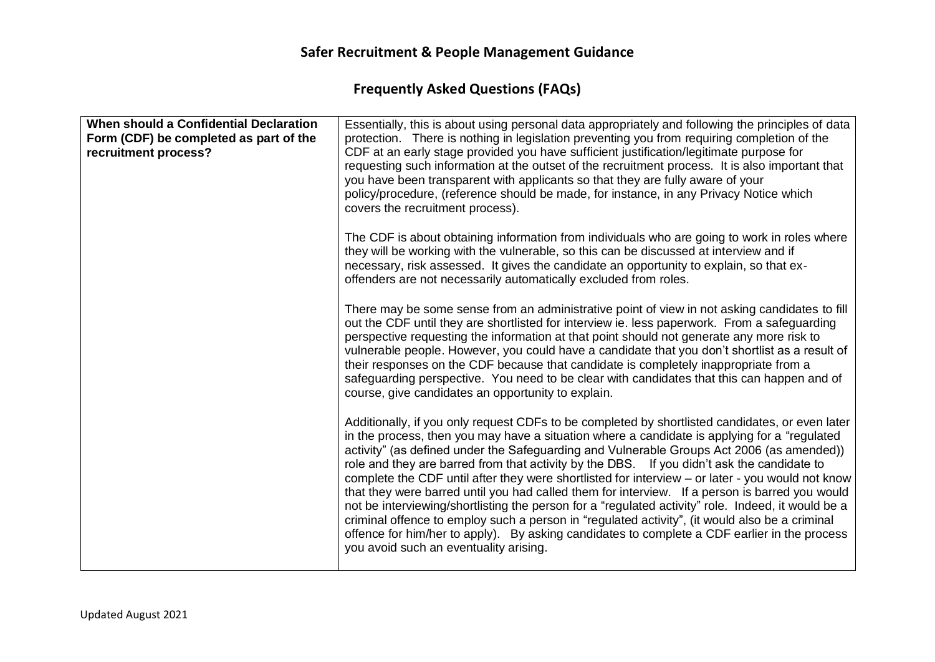| Essentially, this is about using personal data appropriately and following the principles of data<br>protection. There is nothing in legislation preventing you from requiring completion of the<br>CDF at an early stage provided you have sufficient justification/legitimate purpose for<br>requesting such information at the outset of the recruitment process. It is also important that<br>you have been transparent with applicants so that they are fully aware of your<br>policy/procedure, (reference should be made, for instance, in any Privacy Notice which<br>covers the recruitment process).                                                                                                                                                                                                                                                                                                                                     |
|----------------------------------------------------------------------------------------------------------------------------------------------------------------------------------------------------------------------------------------------------------------------------------------------------------------------------------------------------------------------------------------------------------------------------------------------------------------------------------------------------------------------------------------------------------------------------------------------------------------------------------------------------------------------------------------------------------------------------------------------------------------------------------------------------------------------------------------------------------------------------------------------------------------------------------------------------|
| The CDF is about obtaining information from individuals who are going to work in roles where<br>they will be working with the vulnerable, so this can be discussed at interview and if<br>necessary, risk assessed. It gives the candidate an opportunity to explain, so that ex-<br>offenders are not necessarily automatically excluded from roles.                                                                                                                                                                                                                                                                                                                                                                                                                                                                                                                                                                                              |
| There may be some sense from an administrative point of view in not asking candidates to fill<br>out the CDF until they are shortlisted for interview ie. less paperwork. From a safeguarding<br>perspective requesting the information at that point should not generate any more risk to<br>vulnerable people. However, you could have a candidate that you don't shortlist as a result of<br>their responses on the CDF because that candidate is completely inappropriate from a<br>safeguarding perspective. You need to be clear with candidates that this can happen and of<br>course, give candidates an opportunity to explain.                                                                                                                                                                                                                                                                                                           |
| Additionally, if you only request CDFs to be completed by shortlisted candidates, or even later<br>in the process, then you may have a situation where a candidate is applying for a "regulated<br>activity" (as defined under the Safeguarding and Vulnerable Groups Act 2006 (as amended))<br>role and they are barred from that activity by the DBS. If you didn't ask the candidate to<br>complete the CDF until after they were shortlisted for interview – or later - you would not know<br>that they were barred until you had called them for interview. If a person is barred you would<br>not be interviewing/shortlisting the person for a "regulated activity" role. Indeed, it would be a<br>criminal offence to employ such a person in "regulated activity", (it would also be a criminal<br>offence for him/her to apply). By asking candidates to complete a CDF earlier in the process<br>you avoid such an eventuality arising. |
|                                                                                                                                                                                                                                                                                                                                                                                                                                                                                                                                                                                                                                                                                                                                                                                                                                                                                                                                                    |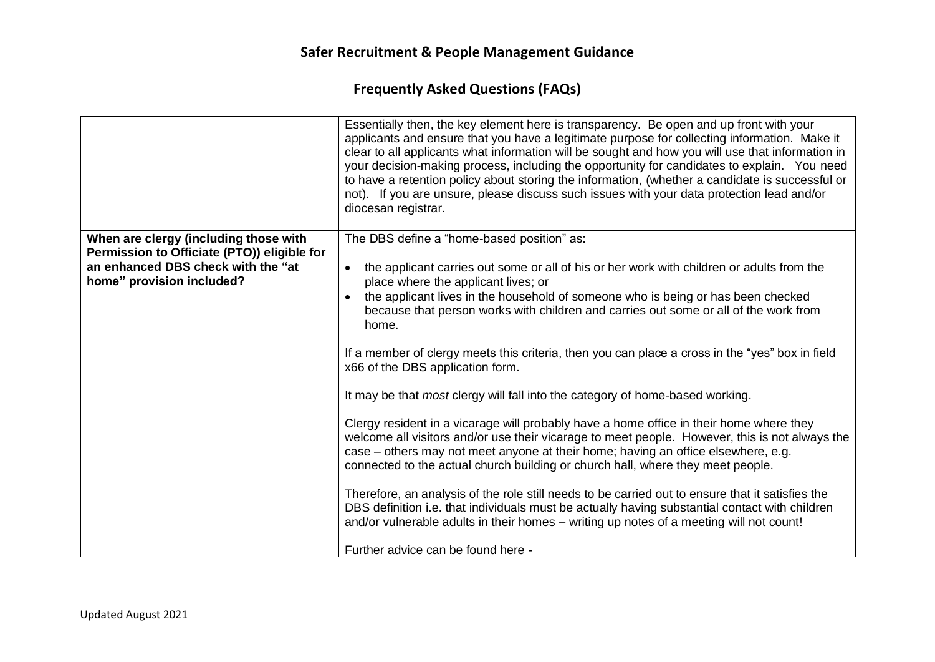|                                                                                                                                                         | Essentially then, the key element here is transparency. Be open and up front with your<br>applicants and ensure that you have a legitimate purpose for collecting information. Make it<br>clear to all applicants what information will be sought and how you will use that information in<br>your decision-making process, including the opportunity for candidates to explain. You need<br>to have a retention policy about storing the information, (whether a candidate is successful or<br>not). If you are unsure, please discuss such issues with your data protection lead and/or<br>diocesan registrar.                                                                                                                                                                                                                                                                                                                                                                                                                                                                                                                                                                                                                                                                                   |
|---------------------------------------------------------------------------------------------------------------------------------------------------------|----------------------------------------------------------------------------------------------------------------------------------------------------------------------------------------------------------------------------------------------------------------------------------------------------------------------------------------------------------------------------------------------------------------------------------------------------------------------------------------------------------------------------------------------------------------------------------------------------------------------------------------------------------------------------------------------------------------------------------------------------------------------------------------------------------------------------------------------------------------------------------------------------------------------------------------------------------------------------------------------------------------------------------------------------------------------------------------------------------------------------------------------------------------------------------------------------------------------------------------------------------------------------------------------------|
| When are clergy (including those with<br>Permission to Officiate (PTO)) eligible for<br>an enhanced DBS check with the "at<br>home" provision included? | The DBS define a "home-based position" as:<br>the applicant carries out some or all of his or her work with children or adults from the<br>$\bullet$<br>place where the applicant lives; or<br>the applicant lives in the household of someone who is being or has been checked<br>$\bullet$<br>because that person works with children and carries out some or all of the work from<br>home.<br>If a member of clergy meets this criteria, then you can place a cross in the "yes" box in field<br>x66 of the DBS application form.<br>It may be that <i>most</i> clergy will fall into the category of home-based working.<br>Clergy resident in a vicarage will probably have a home office in their home where they<br>welcome all visitors and/or use their vicarage to meet people. However, this is not always the<br>case – others may not meet anyone at their home; having an office elsewhere, e.g.<br>connected to the actual church building or church hall, where they meet people.<br>Therefore, an analysis of the role still needs to be carried out to ensure that it satisfies the<br>DBS definition i.e. that individuals must be actually having substantial contact with children<br>and/or vulnerable adults in their homes - writing up notes of a meeting will not count! |
|                                                                                                                                                         | Further advice can be found here -                                                                                                                                                                                                                                                                                                                                                                                                                                                                                                                                                                                                                                                                                                                                                                                                                                                                                                                                                                                                                                                                                                                                                                                                                                                                 |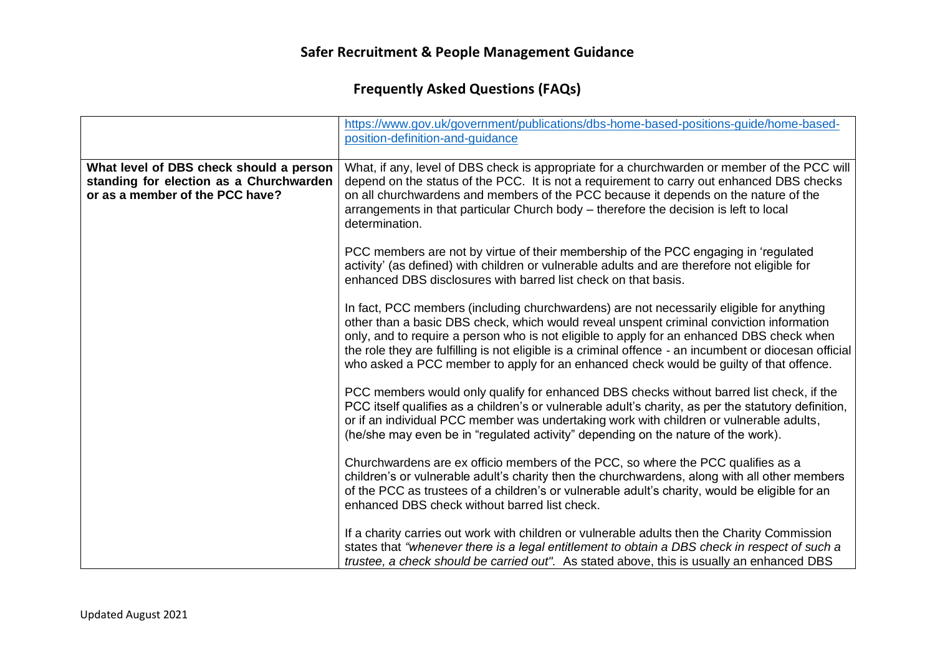|                                                                                                                       | https://www.gov.uk/government/publications/dbs-home-based-positions-guide/home-based-<br>position-definition-and-guidance                                                                                                                                                                                                                                                                                                                                                             |
|-----------------------------------------------------------------------------------------------------------------------|---------------------------------------------------------------------------------------------------------------------------------------------------------------------------------------------------------------------------------------------------------------------------------------------------------------------------------------------------------------------------------------------------------------------------------------------------------------------------------------|
| What level of DBS check should a person<br>standing for election as a Churchwarden<br>or as a member of the PCC have? | What, if any, level of DBS check is appropriate for a churchwarden or member of the PCC will<br>depend on the status of the PCC. It is not a requirement to carry out enhanced DBS checks<br>on all churchwardens and members of the PCC because it depends on the nature of the<br>arrangements in that particular Church body - therefore the decision is left to local<br>determination.                                                                                           |
|                                                                                                                       | PCC members are not by virtue of their membership of the PCC engaging in 'regulated<br>activity' (as defined) with children or vulnerable adults and are therefore not eligible for<br>enhanced DBS disclosures with barred list check on that basis.                                                                                                                                                                                                                                 |
|                                                                                                                       | In fact, PCC members (including churchwardens) are not necessarily eligible for anything<br>other than a basic DBS check, which would reveal unspent criminal conviction information<br>only, and to require a person who is not eligible to apply for an enhanced DBS check when<br>the role they are fulfilling is not eligible is a criminal offence - an incumbent or diocesan official<br>who asked a PCC member to apply for an enhanced check would be guilty of that offence. |
|                                                                                                                       | PCC members would only qualify for enhanced DBS checks without barred list check, if the<br>PCC itself qualifies as a children's or vulnerable adult's charity, as per the statutory definition,<br>or if an individual PCC member was undertaking work with children or vulnerable adults,<br>(he/she may even be in "regulated activity" depending on the nature of the work).                                                                                                      |
|                                                                                                                       | Churchwardens are ex officio members of the PCC, so where the PCC qualifies as a<br>children's or vulnerable adult's charity then the churchwardens, along with all other members<br>of the PCC as trustees of a children's or vulnerable adult's charity, would be eligible for an<br>enhanced DBS check without barred list check.                                                                                                                                                  |
|                                                                                                                       | If a charity carries out work with children or vulnerable adults then the Charity Commission<br>states that "whenever there is a legal entitlement to obtain a DBS check in respect of such a<br>trustee, a check should be carried out". As stated above, this is usually an enhanced DBS                                                                                                                                                                                            |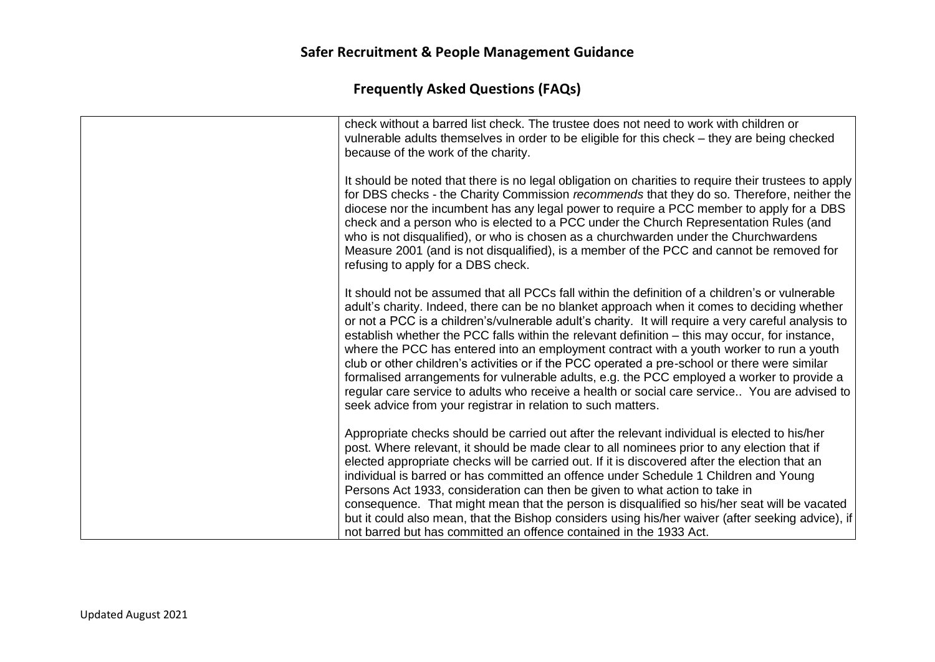| check without a barred list check. The trustee does not need to work with children or<br>vulnerable adults themselves in order to be eligible for this check - they are being checked<br>because of the work of the charity.                                                                                                                                                                                                                                                                                                                                                                                                                                                                                                                                                                                                                                        |
|---------------------------------------------------------------------------------------------------------------------------------------------------------------------------------------------------------------------------------------------------------------------------------------------------------------------------------------------------------------------------------------------------------------------------------------------------------------------------------------------------------------------------------------------------------------------------------------------------------------------------------------------------------------------------------------------------------------------------------------------------------------------------------------------------------------------------------------------------------------------|
| It should be noted that there is no legal obligation on charities to require their trustees to apply<br>for DBS checks - the Charity Commission recommends that they do so. Therefore, neither the<br>diocese nor the incumbent has any legal power to require a PCC member to apply for a DBS<br>check and a person who is elected to a PCC under the Church Representation Rules (and<br>who is not disqualified), or who is chosen as a churchwarden under the Churchwardens<br>Measure 2001 (and is not disqualified), is a member of the PCC and cannot be removed for<br>refusing to apply for a DBS check.                                                                                                                                                                                                                                                   |
| It should not be assumed that all PCCs fall within the definition of a children's or vulnerable<br>adult's charity. Indeed, there can be no blanket approach when it comes to deciding whether<br>or not a PCC is a children's/vulnerable adult's charity. It will require a very careful analysis to<br>establish whether the PCC falls within the relevant definition – this may occur, for instance,<br>where the PCC has entered into an employment contract with a youth worker to run a youth<br>club or other children's activities or if the PCC operated a pre-school or there were similar<br>formalised arrangements for vulnerable adults, e.g. the PCC employed a worker to provide a<br>regular care service to adults who receive a health or social care service You are advised to<br>seek advice from your registrar in relation to such matters. |
| Appropriate checks should be carried out after the relevant individual is elected to his/her<br>post. Where relevant, it should be made clear to all nominees prior to any election that if<br>elected appropriate checks will be carried out. If it is discovered after the election that an<br>individual is barred or has committed an offence under Schedule 1 Children and Young<br>Persons Act 1933, consideration can then be given to what action to take in<br>consequence. That might mean that the person is disqualified so his/her seat will be vacated<br>but it could also mean, that the Bishop considers using his/her waiver (after seeking advice), if<br>not barred but has committed an offence contained in the 1933 Act.                                                                                                                     |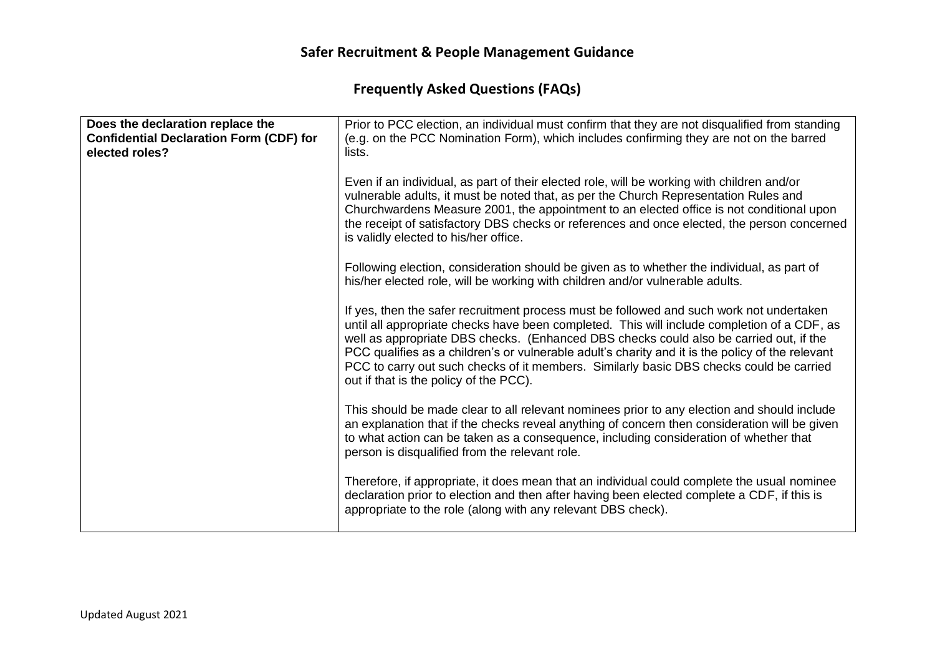| Does the declaration replace the<br><b>Confidential Declaration Form (CDF) for</b><br>elected roles? | Prior to PCC election, an individual must confirm that they are not disqualified from standing<br>(e.g. on the PCC Nomination Form), which includes confirming they are not on the barred<br>lists.                                                                                                                                                                                                                                                                                                                        |
|------------------------------------------------------------------------------------------------------|----------------------------------------------------------------------------------------------------------------------------------------------------------------------------------------------------------------------------------------------------------------------------------------------------------------------------------------------------------------------------------------------------------------------------------------------------------------------------------------------------------------------------|
|                                                                                                      | Even if an individual, as part of their elected role, will be working with children and/or<br>vulnerable adults, it must be noted that, as per the Church Representation Rules and<br>Churchwardens Measure 2001, the appointment to an elected office is not conditional upon<br>the receipt of satisfactory DBS checks or references and once elected, the person concerned<br>is validly elected to his/her office.                                                                                                     |
|                                                                                                      | Following election, consideration should be given as to whether the individual, as part of<br>his/her elected role, will be working with children and/or vulnerable adults.                                                                                                                                                                                                                                                                                                                                                |
|                                                                                                      | If yes, then the safer recruitment process must be followed and such work not undertaken<br>until all appropriate checks have been completed. This will include completion of a CDF, as<br>well as appropriate DBS checks. (Enhanced DBS checks could also be carried out, if the<br>PCC qualifies as a children's or vulnerable adult's charity and it is the policy of the relevant<br>PCC to carry out such checks of it members. Similarly basic DBS checks could be carried<br>out if that is the policy of the PCC). |
|                                                                                                      | This should be made clear to all relevant nominees prior to any election and should include<br>an explanation that if the checks reveal anything of concern then consideration will be given<br>to what action can be taken as a consequence, including consideration of whether that<br>person is disqualified from the relevant role.                                                                                                                                                                                    |
|                                                                                                      | Therefore, if appropriate, it does mean that an individual could complete the usual nominee<br>declaration prior to election and then after having been elected complete a CDF, if this is<br>appropriate to the role (along with any relevant DBS check).                                                                                                                                                                                                                                                                 |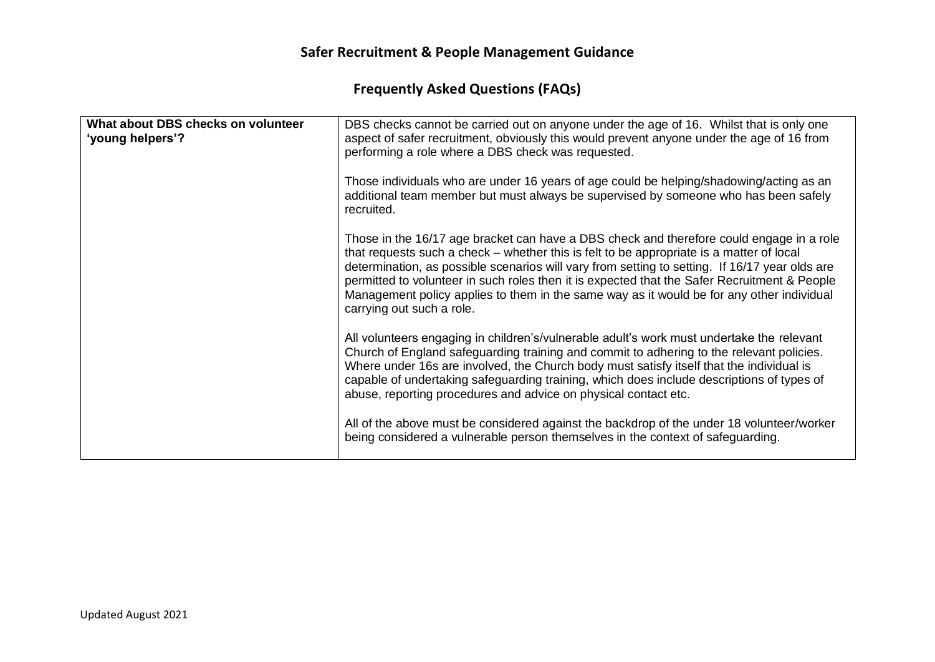| What about DBS checks on volunteer<br>'young helpers'? | DBS checks cannot be carried out on anyone under the age of 16. Whilst that is only one<br>aspect of safer recruitment, obviously this would prevent anyone under the age of 16 from<br>performing a role where a DBS check was requested.                                                                                                                                                                                                                                                                       |
|--------------------------------------------------------|------------------------------------------------------------------------------------------------------------------------------------------------------------------------------------------------------------------------------------------------------------------------------------------------------------------------------------------------------------------------------------------------------------------------------------------------------------------------------------------------------------------|
|                                                        | Those individuals who are under 16 years of age could be helping/shadowing/acting as an<br>additional team member but must always be supervised by someone who has been safely<br>recruited.                                                                                                                                                                                                                                                                                                                     |
|                                                        | Those in the 16/17 age bracket can have a DBS check and therefore could engage in a role<br>that requests such a check – whether this is felt to be appropriate is a matter of local<br>determination, as possible scenarios will vary from setting to setting. If 16/17 year olds are<br>permitted to volunteer in such roles then it is expected that the Safer Recruitment & People<br>Management policy applies to them in the same way as it would be for any other individual<br>carrying out such a role. |
|                                                        | All volunteers engaging in children's/vulnerable adult's work must undertake the relevant<br>Church of England safeguarding training and commit to adhering to the relevant policies.<br>Where under 16s are involved, the Church body must satisfy itself that the individual is<br>capable of undertaking safeguarding training, which does include descriptions of types of<br>abuse, reporting procedures and advice on physical contact etc.                                                                |
|                                                        | All of the above must be considered against the backdrop of the under 18 volunteer/worker<br>being considered a vulnerable person themselves in the context of safeguarding.                                                                                                                                                                                                                                                                                                                                     |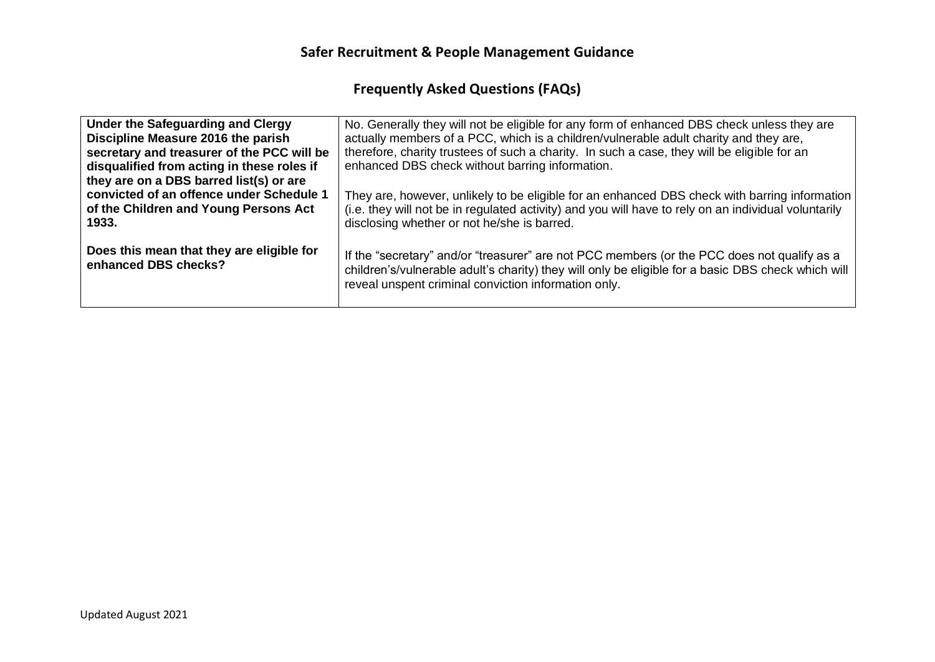| Under the Safeguarding and Clergy                                                                                                   | No. Generally they will not be eligible for any form of enhanced DBS check unless they are                                                                                                                                                                |
|-------------------------------------------------------------------------------------------------------------------------------------|-----------------------------------------------------------------------------------------------------------------------------------------------------------------------------------------------------------------------------------------------------------|
| Discipline Measure 2016 the parish                                                                                                  | actually members of a PCC, which is a children/vulnerable adult charity and they are,                                                                                                                                                                     |
| secretary and treasurer of the PCC will be<br>disqualified from acting in these roles if<br>they are on a DBS barred list(s) or are | therefore, charity trustees of such a charity. In such a case, they will be eligible for an<br>enhanced DBS check without barring information.                                                                                                            |
| convicted of an offence under Schedule 1                                                                                            | They are, however, unlikely to be eligible for an enhanced DBS check with barring information                                                                                                                                                             |
| of the Children and Young Persons Act                                                                                               | (i.e. they will not be in regulated activity) and you will have to rely on an individual voluntarily                                                                                                                                                      |
| 1933.                                                                                                                               | disclosing whether or not he/she is barred.                                                                                                                                                                                                               |
| Does this mean that they are eligible for<br>enhanced DBS checks?                                                                   | If the "secretary" and/or "treasurer" are not PCC members (or the PCC does not qualify as a<br>children's/vulnerable adult's charity) they will only be eligible for a basic DBS check which will<br>reveal unspent criminal conviction information only. |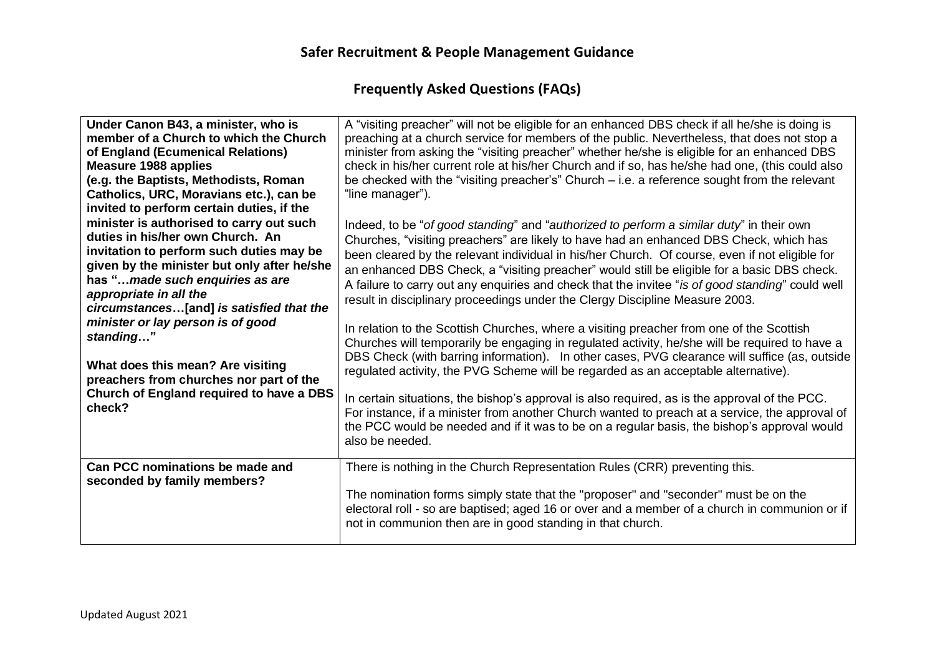| Under Canon B43, a minister, who is<br>member of a Church to which the Church<br>of England (Ecumenical Relations)<br><b>Measure 1988 applies</b><br>(e.g. the Baptists, Methodists, Roman<br>Catholics, URC, Moravians etc.), can be<br>invited to perform certain duties, if the | A "visiting preacher" will not be eligible for an enhanced DBS check if all he/she is doing is<br>preaching at a church service for members of the public. Nevertheless, that does not stop a<br>minister from asking the "visiting preacher" whether he/she is eligible for an enhanced DBS<br>check in his/her current role at his/her Church and if so, has he/she had one, (this could also<br>be checked with the "visiting preacher's" Church $-$ i.e. a reference sought from the relevant<br>"line manager").                                                   |
|------------------------------------------------------------------------------------------------------------------------------------------------------------------------------------------------------------------------------------------------------------------------------------|-------------------------------------------------------------------------------------------------------------------------------------------------------------------------------------------------------------------------------------------------------------------------------------------------------------------------------------------------------------------------------------------------------------------------------------------------------------------------------------------------------------------------------------------------------------------------|
| minister is authorised to carry out such<br>duties in his/her own Church. An<br>invitation to perform such duties may be<br>given by the minister but only after he/she<br>has "made such enquiries as are<br>appropriate in all the<br>circumstances[and] is satisfied that the   | Indeed, to be "of good standing" and "authorized to perform a similar duty" in their own<br>Churches, "visiting preachers" are likely to have had an enhanced DBS Check, which has<br>been cleared by the relevant individual in his/her Church. Of course, even if not eligible for<br>an enhanced DBS Check, a "visiting preacher" would still be eligible for a basic DBS check.<br>A failure to carry out any enquiries and check that the invitee "is of good standing" could well<br>result in disciplinary proceedings under the Clergy Discipline Measure 2003. |
| minister or lay person is of good<br>standing"<br>What does this mean? Are visiting<br>preachers from churches nor part of the                                                                                                                                                     | In relation to the Scottish Churches, where a visiting preacher from one of the Scottish<br>Churches will temporarily be engaging in regulated activity, he/she will be required to have a<br>DBS Check (with barring information). In other cases, PVG clearance will suffice (as, outside<br>regulated activity, the PVG Scheme will be regarded as an acceptable alternative).                                                                                                                                                                                       |
| Church of England required to have a DBS<br>check?                                                                                                                                                                                                                                 | In certain situations, the bishop's approval is also required, as is the approval of the PCC.<br>For instance, if a minister from another Church wanted to preach at a service, the approval of<br>the PCC would be needed and if it was to be on a regular basis, the bishop's approval would<br>also be needed.                                                                                                                                                                                                                                                       |
| Can PCC nominations be made and<br>seconded by family members?                                                                                                                                                                                                                     | There is nothing in the Church Representation Rules (CRR) preventing this.<br>The nomination forms simply state that the "proposer" and "seconder" must be on the<br>electoral roll - so are baptised; aged 16 or over and a member of a church in communion or if<br>not in communion then are in good standing in that church.                                                                                                                                                                                                                                        |